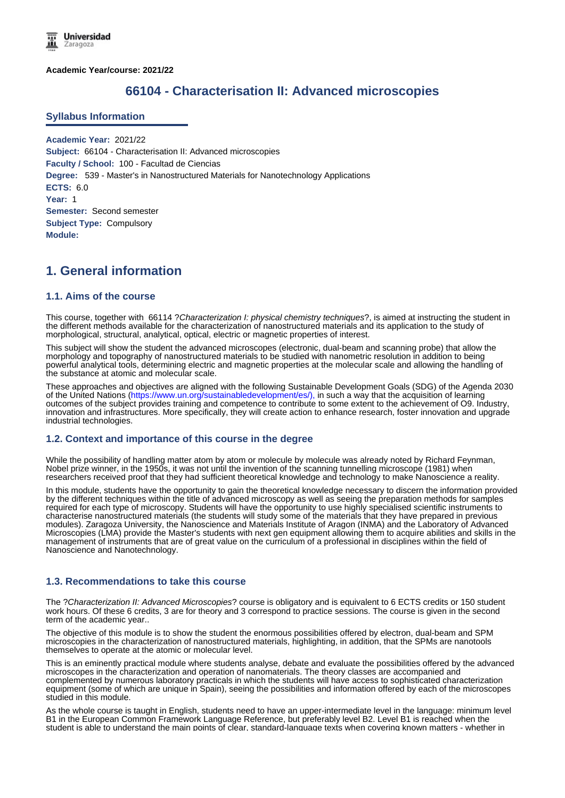**Academic Year/course: 2021/22**

# **66104 - Characterisation II: Advanced microscopies**

#### **Syllabus Information**

**Academic Year:** 2021/22 **Subject:** 66104 - Characterisation II: Advanced microscopies **Faculty / School:** 100 - Facultad de Ciencias **Degree:** 539 - Master's in Nanostructured Materials for Nanotechnology Applications **ECTS:** 6.0 **Year:** 1 **Semester:** Second semester **Subject Type:** Compulsory **Module:**

# **1. General information**

#### **1.1. Aims of the course**

This course, together with 66114 ?*Characterization I: physical chemistry techniques*?, is aimed at instructing the student in the different methods available for the characterization of nanostructured materials and its application to the study of morphological, structural, analytical, optical, electric or magnetic properties of interest.

This subject will show the student the advanced microscopes (electronic, dual-beam and scanning probe) that allow the morphology and topography of nanostructured materials to be studied with nanometric resolution in addition to being powerful analytical tools, determining electric and magnetic properties at the molecular scale and allowing the handling of the substance at atomic and molecular scale.

These approaches and objectives are aligned with the following Sustainable Development Goals (SDG) of the Agenda 2030 of the United Nations (https://www.un.org/sustainabledevelopment/es/), in such a way that the acquisition of learning outcomes of the subject provides training and competence to contribute to some extent to the achievement of O9. Industry, innovation and infrastructures. More specifically, they will create action to enhance research, foster innovation and upgrade industrial technologies.

#### **1.2. Context and importance of this course in the degree**

While the possibility of handling matter atom by atom or molecule by molecule was already noted by Richard Feynman, Nobel prize winner, in the 1950s, it was not until the invention of the scanning tunnelling microscope (1981) when researchers received proof that they had sufficient theoretical knowledge and technology to make Nanoscience a reality.

In this module, students have the opportunity to gain the theoretical knowledge necessary to discern the information provided by the different techniques within the title of advanced microscopy as well as seeing the preparation methods for samples required for each type of microscopy. Students will have the opportunity to use highly specialised scientific instruments to characterise nanostructured materials (the students will study some of the materials that they have prepared in previous modules). Zaragoza University, the Nanoscience and Materials Institute of Aragon (INMA) and the Laboratory of Advanced Microscopies (LMA) provide the Master's students with next gen equipment allowing them to acquire abilities and skills in the management of instruments that are of great value on the curriculum of a professional in disciplines within the field of Nanoscience and Nanotechnology.

#### **1.3. Recommendations to take this course**

The ?*Characterization II: Advanced Microscopies*? course is obligatory and is equivalent to 6 ECTS credits or 150 student work hours. Of these 6 credits, 3 are for theory and 3 correspond to practice sessions. The course is given in the second term of the academic year..

The objective of this module is to show the student the enormous possibilities offered by electron, dual-beam and SPM microscopies in the characterization of nanostructured materials, highlighting, in addition, that the SPMs are nanotools themselves to operate at the atomic or molecular level.

This is an eminently practical module where students analyse, debate and evaluate the possibilities offered by the advanced microscopes in the characterization and operation of nanomaterials. The theory classes are accompanied and complemented by numerous laboratory practicals in which the students will have access to sophisticated characterization equipment (some of which are unique in Spain), seeing the possibilities and information offered by each of the microscopes studied in this module.

As the whole course is taught in English, students need to have an upper-intermediate level in the language: minimum level B1 in the European Common Framework Language Reference, but preferably level B2. Level B1 is reached when the student is able to understand the main points of clear, standard-language texts when covering known matters - whether in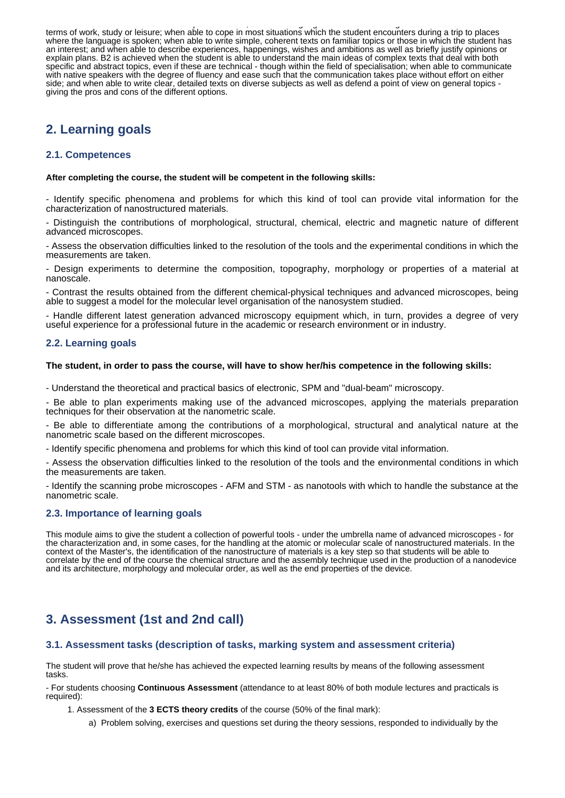student is able to understand the main points of clear, standard-language texts when covering known matters - whether in terms of work, study or leisure; when able to cope in most situations which the student encounters during a trip to places where the language is spoken; when able to write simple, coherent texts on familiar topics or those in which the student has an interest; and when able to describe experiences, happenings, wishes and ambitions as well as briefly justify opinions or explain plans. B2 is achieved when the student is able to understand the main ideas of complex texts that deal with both specific and abstract topics, even if these are technical - though within the field of specialisation; when able to communicate with native speakers with the degree of fluency and ease such that the communication takes place without effort on either side; and when able to write clear, detailed texts on diverse subjects as well as defend a point of view on general topics giving the pros and cons of the different options.

# **2. Learning goals**

### **2.1. Competences**

#### **After completing the course, the student will be competent in the following skills:**

- Identify specific phenomena and problems for which this kind of tool can provide vital information for the characterization of nanostructured materials.

Distinguish the contributions of morphological, structural, chemical, electric and magnetic nature of different advanced microscopes.

- Assess the observation difficulties linked to the resolution of the tools and the experimental conditions in which the measurements are taken.

- Design experiments to determine the composition, topography, morphology or properties of a material at nanoscale.

- Contrast the results obtained from the different chemical-physical techniques and advanced microscopes, being able to suggest a model for the molecular level organisation of the nanosystem studied.

- Handle different latest generation advanced microscopy equipment which, in turn, provides a degree of very useful experience for a professional future in the academic or research environment or in industry.

### **2.2. Learning goals**

#### **The student, in order to pass the course, will have to show her/his competence in the following skills:**

- Understand the theoretical and practical basics of electronic, SPM and "dual-beam" microscopy.

- Be able to plan experiments making use of the advanced microscopes, applying the materials preparation techniques for their observation at the nanometric scale.

- Be able to differentiate among the contributions of a morphological, structural and analytical nature at the nanometric scale based on the different microscopes.

- Identify specific phenomena and problems for which this kind of tool can provide vital information.

- Assess the observation difficulties linked to the resolution of the tools and the environmental conditions in which the measurements are taken.

- Identify the scanning probe microscopes - AFM and STM - as nanotools with which to handle the substance at the nanometric scale.

#### **2.3. Importance of learning goals**

This module aims to give the student a collection of powerful tools - under the umbrella name of advanced microscopes - for the characterization and, in some cases, for the handling at the atomic or molecular scale of nanostructured materials. In the context of the Master's, the identification of the nanostructure of materials is a key step so that students will be able to correlate by the end of the course the chemical structure and the assembly technique used in the production of a nanodevice and its architecture, morphology and molecular order, as well as the end properties of the device.

# **3. Assessment (1st and 2nd call)**

#### **3.1. Assessment tasks (description of tasks, marking system and assessment criteria)**

The student will prove that he/she has achieved the expected learning results by means of the following assessment tasks.

- For students choosing **Continuous Assessment** (attendance to at least 80% of both module lectures and practicals is required):

1. Assessment of the **3 ECTS theory credits** of the course (50% of the final mark):

a) Problem solving, exercises and questions set during the theory sessions, responded to individually by the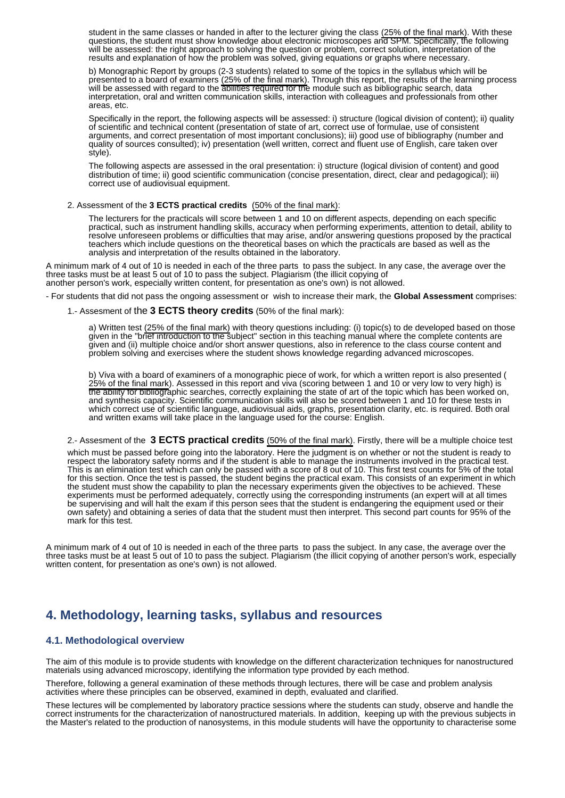student in the same classes or handed in after to the lecturer giving the class (25% of the final mark). With these questions, the student must show knowledge about electronic microscopes and SPM. Specifically, the following will be assessed: the right approach to solving the question or problem, correct solution, interpretation of the results and explanation of how the problem was solved, giving equations or graphs where necessary.

b) Monographic Report by groups (2-3 students) related to some of the topics in the syllabus which will be presented to a board of examiners (25% of the final mark). Through this report, the results of the learning process will be assessed with regard to the abilities required for the module such as bibliographic search, data interpretation, oral and written communication skills, interaction with colleagues and professionals from other areas, etc.

Specifically in the report, the following aspects will be assessed: i) structure (logical division of content); ii) quality of scientific and technical content (presentation of state of art, correct use of formulae, use of consistent arguments, and correct presentation of most important conclusions); iii) good use of bibliography (number and quality of sources consulted); iv) presentation (well written, correct and fluent use of English, care taken over style).

The following aspects are assessed in the oral presentation: i) structure (logical division of content) and good distribution of time; ii) good scientific communication (concise presentation, direct, clear and pedagogical); iii) correct use of audiovisual equipment.

#### 2. Assessment of the **3 ECTS practical credits**  (50% of the final mark):

The lecturers for the practicals will score between 1 and 10 on different aspects, depending on each specific practical, such as instrument handling skills, accuracy when performing experiments, attention to detail, ability to resolve unforeseen problems or difficulties that may arise, and/or answering questions proposed by the practical teachers which include questions on the theoretical bases on which the practicals are based as well as the analysis and interpretation of the results obtained in the laboratory.

A minimum mark of 4 out of 10 is needed in each of the three parts to pass the subject. In any case, the average over the three tasks must be at least 5 out of 10 to pass the subject. Plagiarism (the illicit copying of another person's work, especially written content, for presentation as one's own) is not allowed.

- For students that did not pass the ongoing assessment or wish to increase their mark, the **Global Assessment** comprises:

1.- Assesment of the **3 ECTS theory credits** (50% of the final mark):

a) Written test (25% of the final mark) with theory questions including: (i) topic(s) to de developed based on those given in the "brief introduction to the subject" section in this teaching manual where the complete contents are given and (ii) multiple choice and/or short answer questions, also in reference to the class course content and problem solving and exercises where the student shows knowledge regarding advanced microscopes.

b) Viva with a board of examiners of a monographic piece of work, for which a written report is also presented ( 25% of the final mark). Assessed in this report and viva (scoring between 1 and 10 or very low to very high) is the ability for bibliographic searches, correctly explaining the state of art of the topic which has been worked on, and synthesis capacity. Scientific communication skills will also be scored between 1 and 10 for these tests in which correct use of scientific language, audiovisual aids, graphs, presentation clarity, etc. is required. Both oral and written exams will take place in the language used for the course: English.

2.- Assesment of the **3 ECTS practical credits** (50% of the final mark). Firstly, there will be a multiple choice test

which must be passed before going into the laboratory. Here the judgment is on whether or not the student is ready to respect the laboratory safety norms and if the student is able to manage the instruments involved in the practical test. This is an elimination test which can only be passed with a score of 8 out of 10. This first test counts for 5% of the total for this section. Once the test is passed, the student begins the practical exam. This consists of an experiment in which the student must show the capability to plan the necessary experiments given the objectives to be achieved. These experiments must be performed adequately, correctly using the corresponding instruments (an expert will at all times be supervising and will halt the exam if this person sees that the student is endangering the equipment used or their own safety) and obtaining a series of data that the student must then interpret. This second part counts for 95% of the mark for this test.

A minimum mark of 4 out of 10 is needed in each of the three parts to pass the subject. In any case, the average over the three tasks must be at least 5 out of 10 to pass the subject. Plagiarism (the illicit copying of another person's work, especially written content, for presentation as one's own) is not allowed.

# **4. Methodology, learning tasks, syllabus and resources**

#### **4.1. Methodological overview**

The aim of this module is to provide students with knowledge on the different characterization techniques for nanostructured materials using advanced microscopy, identifying the information type provided by each method.

Therefore, following a general examination of these methods through lectures, there will be case and problem analysis activities where these principles can be observed, examined in depth, evaluated and clarified.

These lectures will be complemented by laboratory practice sessions where the students can study, observe and handle the correct instruments for the characterization of nanostructured materials. In addition, keeping up with the previous subjects in the Master's related to the production of nanosystems, in this module students will have the opportunity to characterise some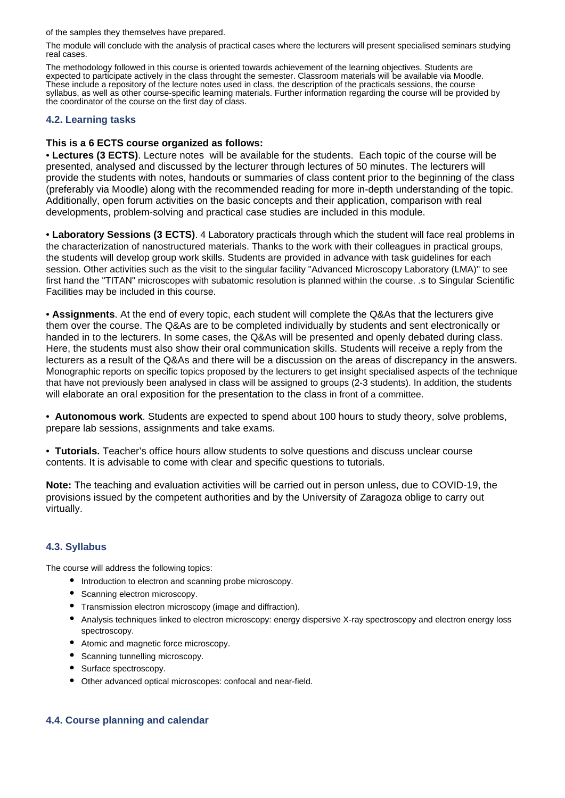of the samples they themselves have prepared.

The module will conclude with the analysis of practical cases where the lecturers will present specialised seminars studying real cases.

The methodology followed in this course is oriented towards achievement of the learning objectives. Students are expected to participate actively in the class throught the semester. Classroom materials will be available via Moodle. These include a repository of the lecture notes used in class, the description of the practicals sessions, the course syllabus, as well as other course-specific learning materials. Further information regarding the course will be provided by the coordinator of the course on the first day of class.

## **4.2. Learning tasks**

# **This is a 6 ECTS course organized as follows:**

• **Lectures (3 ECTS)**. Lecture notes will be available for the students. Each topic of the course will be presented, analysed and discussed by the lecturer through lectures of 50 minutes. The lecturers will provide the students with notes, handouts or summaries of class content prior to the beginning of the class (preferably via Moodle) along with the recommended reading for more in-depth understanding of the topic. Additionally, open forum activities on the basic concepts and their application, comparison with real developments, problem-solving and practical case studies are included in this module.

• **Laboratory Sessions (3 ECTS)**. 4 Laboratory practicals through which the student will face real problems in the characterization of nanostructured materials. Thanks to the work with their colleagues in practical groups, the students will develop group work skills. Students are provided in advance with task guidelines for each session. Other activities such as the visit to the singular facility "Advanced Microscopy Laboratory (LMA)" to see first hand the "TITAN" microscopes with subatomic resolution is planned within the course. .s to Singular Scientific Facilities may be included in this course.

• **Assignments**. At the end of every topic, each student will complete the Q&As that the lecturers give them over the course. The Q&As are to be completed individually by students and sent electronically or handed in to the lecturers. In some cases, the Q&As will be presented and openly debated during class. Here, the students must also show their oral communication skills. Students will receive a reply from the lecturers as a result of the Q&As and there will be a discussion on the areas of discrepancy in the answers. Monographic reports on specific topics proposed by the lecturers to get insight specialised aspects of the technique that have not previously been analysed in class will be assigned to groups (2-3 students). In addition, the students will elaborate an oral exposition for the presentation to the class in front of a committee.

• **Autonomous work**. Students are expected to spend about 100 hours to study theory, solve problems, prepare lab sessions, assignments and take exams.

• **Tutorials.** Teacher's office hours allow students to solve questions and discuss unclear course contents. It is advisable to come with clear and specific questions to tutorials.

**Note:** The teaching and evaluation activities will be carried out in person unless, due to COVID-19, the provisions issued by the competent authorities and by the University of Zaragoza oblige to carry out virtually.

## **4.3. Syllabus**

The course will address the following topics:

- Introduction to electron and scanning probe microscopy.
- Scanning electron microscopy.
- Transmission electron microscopy (image and diffraction).
- Analysis techniques linked to electron microscopy: energy dispersive X-ray spectroscopy and electron energy loss spectroscopy.
- Atomic and magnetic force microscopy.
- Scanning tunnelling microscopy.
- Surface spectroscopy.
- Other advanced optical microscopes: confocal and near-field.

## **4.4. Course planning and calendar**